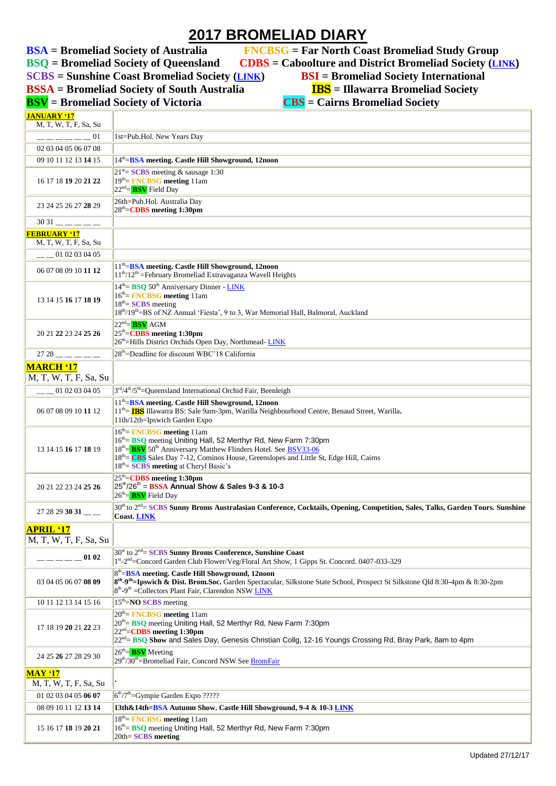## **2017 BROMELIAD DIARY**

**BSQ = Bromeliad Society of Queensland CDBS = Caboolture and District Bromeliad Society ([LINK](http://cabbroms.webs.com/)) SCBS** = Sunshine Coast Bromeliad Society (**[LINK](http://scbs.org.au/?page_id=34)**) **BSI** = Bromeliad Society International<br>**BSSA** = Bromeliad Society of South Australia **IBS** = Illawarra Bromeliad Society **BSSA** = Bromeliad Society of South Australia

**BSA = Bromeliad Society of Australia FNCBSG = Far North Coast Bromeliad Study Group**

ä

- 
- 

**BSV** = Bromeliad Society of Victoria **JANUARY '17**

|  | <u> 1155</u> – Inawal I a Divinenau So                                 |  |
|--|------------------------------------------------------------------------|--|
|  | $\mathbf{CBS} = \mathbf{Cairns}\ \mathbf{Bromeliad}\ \mathbf{Societv}$ |  |

| <u> JANUAK Y 'I /</u><br>M, T, W, T, F, Sa, Su |                                                                                                                                                                                                                                                                                                                                                     |  |
|------------------------------------------------|-----------------------------------------------------------------------------------------------------------------------------------------------------------------------------------------------------------------------------------------------------------------------------------------------------------------------------------------------------|--|
| 01                                             | 1st=Pub.Hol. New Years Day                                                                                                                                                                                                                                                                                                                          |  |
| 02 03 04 05 06 07 08                           |                                                                                                                                                                                                                                                                                                                                                     |  |
| 09 10 11 12 13 14 15                           | 14th - BSA meeting. Castle Hill Showground, 12noon                                                                                                                                                                                                                                                                                                  |  |
|                                                | $21^{st}$ SCBS meeting & sausage 1:30                                                                                                                                                                                                                                                                                                               |  |
| 16 17 18 19 20 21 22                           | 19th = FNCBSG meeting 11am<br>$22nd = BSV$ Field Day                                                                                                                                                                                                                                                                                                |  |
| 23 24 25 26 27 28 29                           | 26th=Pub.Hol. Australia Day<br>28 <sup>th</sup> = <b>CDBS</b> meeting 1:30pm                                                                                                                                                                                                                                                                        |  |
| $\overline{3031}$ ______                       |                                                                                                                                                                                                                                                                                                                                                     |  |
| <b>FEBRUARY '17</b><br>M, T, W, T, F, Sa, Su   |                                                                                                                                                                                                                                                                                                                                                     |  |
| $-$ 01 02 03 04 05                             |                                                                                                                                                                                                                                                                                                                                                     |  |
| 06 07 08 09 10 11 12                           | 11 <sup>th</sup> =BSA meeting. Castle Hill Showground, 12noon<br>$11^{th}/12^{th}$ = February Bromeliad Extravaganza Wavell Heights                                                                                                                                                                                                                 |  |
| 13 14 15 16 17 18 19                           | $14th$ = BSQ 50 <sup>th</sup> Anniversary Dinner - LINK<br>$16th$ = FNCBSG meeting 11am<br>$18th$ = SCBS meeting<br>18th/19th=BS of NZ Annual 'Fiesta', 9 to 3, War Memorial Hall, Balmoral, Auckland                                                                                                                                               |  |
| 20 21 22 23 24 25 26                           | $22nd = BSV AGM$<br>25 <sup>th</sup> =CDBS meeting 1:30pm<br>26 <sup>th</sup> =Hills District Orchids Open Day, Northmead-LINK                                                                                                                                                                                                                      |  |
| $2728$ — — — — —                               | 28 <sup>th</sup> =Deadline for discount WBC'18 California                                                                                                                                                                                                                                                                                           |  |
| <b>MARCH '17</b>                               |                                                                                                                                                                                                                                                                                                                                                     |  |
| M, T, W, T, F, Sa, Su                          |                                                                                                                                                                                                                                                                                                                                                     |  |
| $-$ 01 02 03 04 05                             | $3rd/4th/5th$ = Queensland International Orchid Fair, Beenleigh                                                                                                                                                                                                                                                                                     |  |
| 06 07 08 09 10 11 12                           | $11th=$ BSA meeting. Castle Hill Showground, 12noon<br>11 <sup>th</sup> = <b>IBS</b> Illawarra BS: Sale 9am-3pm, Warilla Neighbourhood Centre, Benaud Street, Warilla.<br>11th/12th=Ipswich Garden Expo                                                                                                                                             |  |
| 13 14 15 16 17 18 19                           | $16th$ = FNCBSG meeting 11am<br>16th = BSQ meeting Uniting Hall, 52 Merthyr Rd, New Farm 7:30pm<br>18 <sup>th</sup> = <b>BSV</b> 50 <sup>th</sup> Anniversary Matthew Flinders Hotel. See BSV33-06<br>18 <sup>th</sup> = CBS Sales Day 7-12, Cominos House, Greenslopes and Little St, Edge Hill, Cairns<br>$18th =$ SCBS meeting at Cheryl Basic's |  |
| 20 21 22 23 24 25 26                           | 25 <sup>th</sup> = <b>CDBS</b> meeting 1:30pm<br>$25^{th}/26^{th}$ = BSSA Annual Show & Sales 9-3 & 10-3<br>26 <sup>th</sup> =BSV Field Day                                                                                                                                                                                                         |  |
| $2728293031$ <sub>--</sub>                     | 30 <sup>th</sup> to 2 <sup>nd</sup> = SCBS Sunny Broms Australasian Conference, Cocktails, Opening, Competition, Sales, Talks, Garden Tours. Sunshine<br><b>Coast. LINK</b>                                                                                                                                                                         |  |
| <b>APRIL '17</b>                               |                                                                                                                                                                                                                                                                                                                                                     |  |
| M, T, W, T, F, Sa, Su                          |                                                                                                                                                                                                                                                                                                                                                     |  |
| 01 02                                          | 30 <sup>st</sup> to 2 <sup>nd</sup> = SCBS Sunny Broms Conference, Sunshine Coast<br>1st-2nd=Concord Garden Club Flower/Veg/Floral Art Show, 1 Gipps St. Concord. 0407-033-329                                                                                                                                                                      |  |
| 03 04 05 06 07 08 09                           | 8th = BSA meeting. Castle Hill Showground, 12noon<br>8 <sup>th</sup> -9 <sup>th</sup> -Ipswich & Dist. Brom.Soc. Garden Spectacular, Silkstone State School, Prospect St Silkstone Qld 8:30-4pm & 8:30-2pm<br>8 <sup>th</sup> -9 <sup>th</sup> = Collectors Plant Fair, Clarendon NSW LINK                                                          |  |
| 10 11 12 13 14 15 16                           | $15th=$ <b>NO SCBS</b> meeting                                                                                                                                                                                                                                                                                                                      |  |
| 17 18 19 20 21 22 23                           | $20th$ = FNCBSG meeting 11am<br>20 <sup>th</sup> = BSQ meeting Uniting Hall, 52 Merthyr Rd, New Farm 7:30pm<br>22 <sup>nd</sup> = <b>CDBS</b> meeting 1:30pm<br>22 <sup>nd</sup> BSQ Show and Sales Day, Genesis Christian Collg, 12-16 Youngs Crossing Rd, Bray Park, 8am to 4pm                                                                   |  |
| 24 25 26 27 28 29 30                           | $26th$ = BSV Meeting<br>29 <sup>th</sup> /30 <sup>th</sup> =Bromeliad Fair, Concord NSW See <b>BromFair</b>                                                                                                                                                                                                                                         |  |
| <b>MAY '17</b><br>M, T, W, T, F, Sa, Su        |                                                                                                                                                                                                                                                                                                                                                     |  |
| 01 02 03 04 05 06 07                           | $6th/7th$ =Gympie Garden Expo ?????                                                                                                                                                                                                                                                                                                                 |  |
| 08 09 10 11 12 13 14                           | 13th&14th=BSA Autumn Show. Castle Hill Showground, 9-4 & 10-3 LINK                                                                                                                                                                                                                                                                                  |  |
| 15 16 17 18 19 20 21                           | $18th$ = FNCBSG meeting 11am<br>16 <sup>th</sup> = BSQ meeting Uniting Hall, 52 Merthyr Rd, New Farm 7:30pm<br>20th= SCBS meeting                                                                                                                                                                                                                   |  |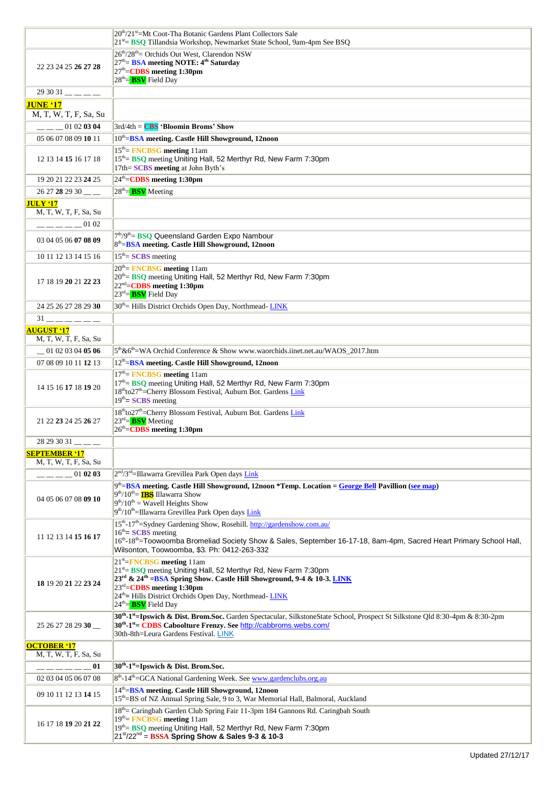|                                             | 20 <sup>th</sup> /21 <sup>st</sup> =Mt Coot-Tha Botanic Gardens Plant Collectors Sale                                                                                                                                                                                                       |
|---------------------------------------------|---------------------------------------------------------------------------------------------------------------------------------------------------------------------------------------------------------------------------------------------------------------------------------------------|
|                                             | 21 <sup>st</sup> = BSQ Tillandsia Workshop, Newmarket State School, 9am-4pm See BSQ                                                                                                                                                                                                         |
|                                             | 26 <sup>th</sup> /28 <sup>th</sup> = Orchids Out West, Clarendon NSW                                                                                                                                                                                                                        |
| 22 23 24 25 26 27 28                        | 27 <sup>th</sup> = <b>BSA</b> meeting NOTE: 4 <sup>th</sup> Saturday<br>27 <sup>th</sup> =CDBS meeting 1:30pm                                                                                                                                                                               |
|                                             | $28th =$ BSV Field Day                                                                                                                                                                                                                                                                      |
| $293031$ ---                                |                                                                                                                                                                                                                                                                                             |
| <b>JUNE '17</b>                             |                                                                                                                                                                                                                                                                                             |
| M, T, W, T, F, Sa, Su                       |                                                                                                                                                                                                                                                                                             |
| 01 02 03 04                                 | $3rd/4th = CBS$ 'Bloomin Broms' Show                                                                                                                                                                                                                                                        |
| 05 06 07 08 09 10 11                        | 10th=BSA meeting. Castle Hill Showground, 12noon                                                                                                                                                                                                                                            |
|                                             | $15th$ FNCBSG meeting 11am                                                                                                                                                                                                                                                                  |
| 12 13 14 15 16 17 18                        | 15 <sup>th</sup> = BSQ meeting Uniting Hall, 52 Merthyr Rd, New Farm 7:30pm<br>17th= SCBS meeting at John Byth's                                                                                                                                                                            |
| 19 20 21 22 23 24 25                        | 24 <sup>th</sup> = <b>CDBS</b> meeting 1:30pm                                                                                                                                                                                                                                               |
| 26 27 28 29 30 ___                          | $28th$ = BSV Meeting                                                                                                                                                                                                                                                                        |
| <b>JULY '17</b>                             |                                                                                                                                                                                                                                                                                             |
| M, T, W, T, F, Sa, Su                       |                                                                                                                                                                                                                                                                                             |
| $--- 0102$                                  |                                                                                                                                                                                                                                                                                             |
| 03 04 05 06 07 08 09                        | 7 <sup>th</sup> /9 <sup>th</sup> = <b>BSQ</b> Queensland Garden Expo Nambour<br>8 <sup>th</sup> =BSA meeting. Castle Hill Showground, 12noon                                                                                                                                                |
| 10 11 12 13 14 15 16                        | $15th$ = SCBS meeting                                                                                                                                                                                                                                                                       |
|                                             | $20th$ = FNCBSG meeting 11am                                                                                                                                                                                                                                                                |
| 17 18 19 20 21 22 23                        | 20 <sup>th</sup> = BSQ meeting Uniting Hall, 52 Merthyr Rd, New Farm 7:30pm<br>22 <sup>nd</sup> =CDBS meeting 1:30pm                                                                                                                                                                        |
|                                             | $23^{rd}$ = BSV Field Day                                                                                                                                                                                                                                                                   |
| 24 25 26 27 28 29 30                        | 30 <sup>th</sup> = Hills District Orchids Open Day, Northmead-LINK                                                                                                                                                                                                                          |
| $31$ — — — — — —                            |                                                                                                                                                                                                                                                                                             |
| <b>AUGUST '17</b>                           |                                                                                                                                                                                                                                                                                             |
| M, T, W, T, F, Sa, Su                       |                                                                                                                                                                                                                                                                                             |
| $-010203040506$                             | 5 <sup>th</sup> &6 <sup>th</sup> =WA Orchid Conference & Show www.waorchids.iinet.net.au/WAOS_2017.htm                                                                                                                                                                                      |
| 07 08 09 10 11 12 13                        | 12 <sup>th</sup> =BSA meeting. Castle Hill Showground, 12noon                                                                                                                                                                                                                               |
|                                             | $17th$ FNCBSG meeting 11am                                                                                                                                                                                                                                                                  |
| 14 15 16 17 18 19 20                        | 17th = BSQ meeting Uniting Hall, 52 Merthyr Rd, New Farm 7:30pm<br>18thto27th=Cherry Blossom Festival, Auburn Bot. Gardens Link<br>$19th$ = SCBS meeting                                                                                                                                    |
| 21 22 23 24 25 26 27                        | 18 <sup>th</sup> to27 <sup>th</sup> =Cherry Blossom Festival, Auburn Bot. Gardens Link<br>$23^{rd}$ = <b>BSV</b> Meeting<br>26 <sup>th</sup> =CDBS meeting 1:30pm                                                                                                                           |
| 28 29 30 31                                 |                                                                                                                                                                                                                                                                                             |
| <b>SEPTEMBER '17</b>                        |                                                                                                                                                                                                                                                                                             |
| M, T, W, T, F, Sa, Su                       |                                                                                                                                                                                                                                                                                             |
| 01 02 03                                    | $2nd/3rd$ =Illawarra Grevillea Park Open days Link                                                                                                                                                                                                                                          |
| 04 05 06 07 08 09 10                        | 9 <sup>th</sup> =BSA meeting. Castle Hill Showground, 12noon *Temp. Location = George Bell Pavillion (see map)<br>$9th/10th$ IBS Illawarra Show<br>$9th/10th$ = Wavell Heights Show<br>9th/10th=Illawarra Grevillea Park Open days Link                                                     |
|                                             | 15 <sup>th</sup> -17 <sup>th</sup> =Sydney Gardening Show, Rosehill. http://gardenshow.com.au/                                                                                                                                                                                              |
| 11 12 13 14 15 16 17                        | $16th$ = SCBS meeting<br>16 <sup>th</sup> -18 <sup>th</sup> =Toowoomba Bromeliad Society Show & Sales, September 16-17-18, 8am-4pm, Sacred Heart Primary School Hall,                                                                                                                       |
|                                             | Wilsonton, Toowoomba, \$3. Ph: 0412-263-332                                                                                                                                                                                                                                                 |
|                                             | 21 <sup>st</sup> =FNCBSG meeting 11am                                                                                                                                                                                                                                                       |
|                                             | 21 <sup>st</sup> = BSQ meeting Uniting Hall, 52 Merthyr Rd, New Farm 7:30pm                                                                                                                                                                                                                 |
| 18 19 20 21 22 23 24                        | 23 <sup>rd</sup> & 24 <sup>th</sup> = BSA Spring Show. Castle Hill Showground, 9-4 & 10-3. LINK<br>23rd=CDBS meeting 1:30pm                                                                                                                                                                 |
|                                             | 24 <sup>th</sup> = Hills District Orchids Open Day, Northmead-LINK                                                                                                                                                                                                                          |
|                                             | $24th$ BSV Field Day                                                                                                                                                                                                                                                                        |
| 25 26 27 28 29 30                           | 30 <sup>th</sup> -1 <sup>st</sup> =Ipswich & Dist. Brom.Soc. Garden Spectacular, SilkstoneState School, Prospect St Silkstone Qld 8:30-4pm & 8:30-2pm<br>30 <sup>th</sup> -1 <sup>st</sup> = CDBS Caboolture Frenzy. See http://cabbroms.webs.com/<br>30th-8th=Leura Gardens Festival. LINK |
| <b>OCTOBER '17</b><br>M, T, W, T, F, Sa, Su |                                                                                                                                                                                                                                                                                             |
| 01                                          | $30th$ -1 <sup>st</sup> =Ipswich & Dist. Brom.Soc.                                                                                                                                                                                                                                          |
| 02 03 04 05 06 07 08                        | 8 <sup>th</sup> -14 <sup>th</sup> =GCA National Gardening Week. See www.gardenclubs.org.au                                                                                                                                                                                                  |
| 09 10 11 12 13 14 15                        | 14th=BSA meeting. Castle Hill Showground, 12noon                                                                                                                                                                                                                                            |
|                                             | 15 <sup>th</sup> =BS of NZ Annual Spring Sale, 9 to 3, War Memorial Hall, Balmoral, Auckland                                                                                                                                                                                                |
| 16 17 18 19 20 21 22                        | 18 <sup>th</sup> = Caringbah Garden Club Spring Fair 11-3pm 184 Gannons Rd. Caringbah South<br>$19th$ FNCBSG meeting 11am<br>19th = BSQ meeting Uniting Hall, 52 Merthyr Rd, New Farm 7:30pm<br>$21^{st}/22^{nd}$ = BSSA Spring Show & Sales 9-3 & 10-3                                     |
|                                             |                                                                                                                                                                                                                                                                                             |